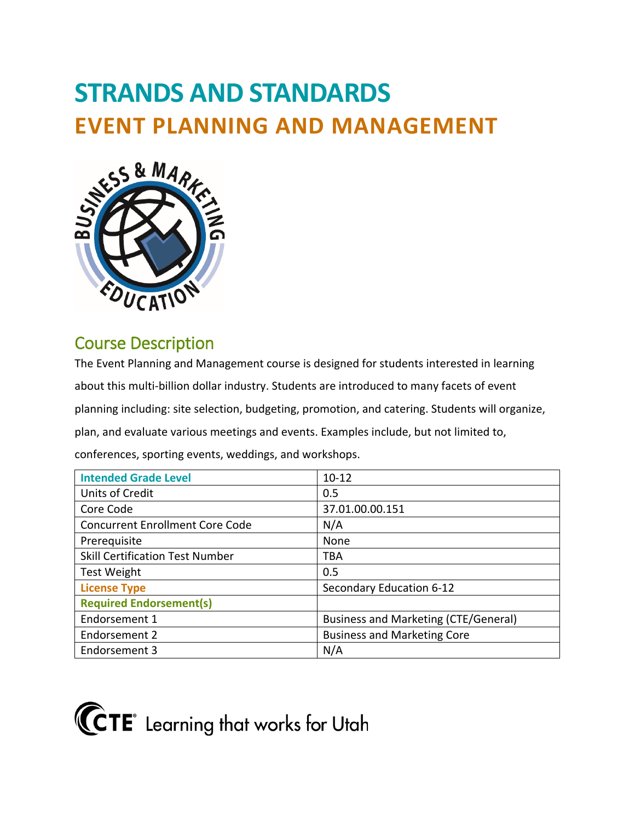# **STRANDS AND STANDARDS EVENT PLANNING AND MANAGEMENT**



# Course Description

The Event Planning and Management course is designed for students interested in learning about this multi-billion dollar industry. Students are introduced to many facets of event planning including: site selection, budgeting, promotion, and catering. Students will organize, plan, and evaluate various meetings and events. Examples include, but not limited to, conferences, sporting events, weddings, and workshops.

| <b>Intended Grade Level</b>            | $10 - 12$                                   |
|----------------------------------------|---------------------------------------------|
| Units of Credit                        | 0.5                                         |
| Core Code                              | 37.01.00.00.151                             |
| <b>Concurrent Enrollment Core Code</b> | N/A                                         |
| Prerequisite                           | None                                        |
| <b>Skill Certification Test Number</b> | <b>TBA</b>                                  |
| <b>Test Weight</b>                     | 0.5                                         |
| <b>License Type</b>                    | Secondary Education 6-12                    |
| <b>Required Endorsement(s)</b>         |                                             |
| Endorsement 1                          | <b>Business and Marketing (CTE/General)</b> |
| Endorsement 2                          | <b>Business and Marketing Core</b>          |
| Endorsement 3                          | N/A                                         |

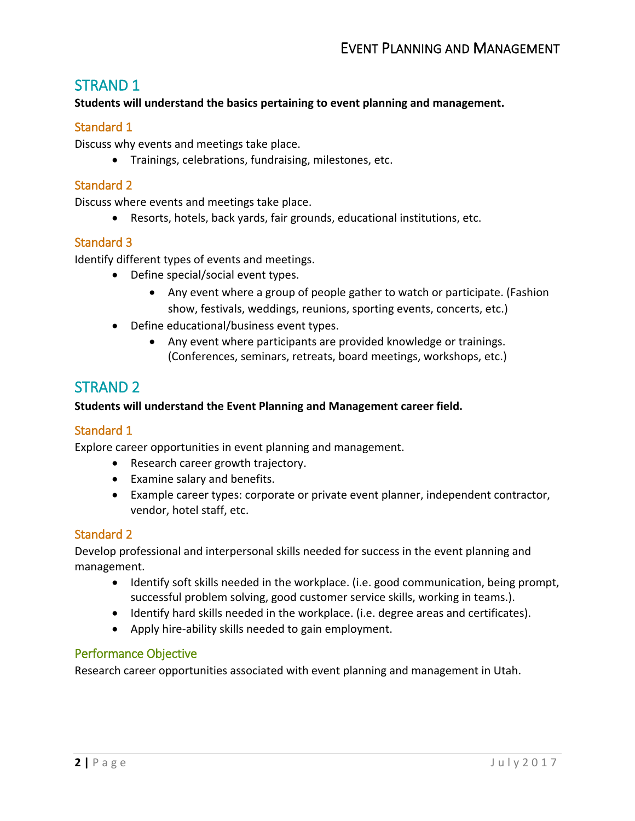## STRAND 1

#### **Students will understand the basics pertaining to event planning and management.**

#### Standard 1

Discuss why events and meetings take place.

• Trainings, celebrations, fundraising, milestones, etc.

#### Standard 2

Discuss where events and meetings take place.

• Resorts, hotels, back yards, fair grounds, educational institutions, etc.

#### Standard 3

Identify different types of events and meetings.

- Define special/social event types.
	- Any event where a group of people gather to watch or participate. (Fashion show, festivals, weddings, reunions, sporting events, concerts, etc.)
- Define educational/business event types.
	- Any event where participants are provided knowledge or trainings. (Conferences, seminars, retreats, board meetings, workshops, etc.)

# STRAND 2

#### **Students will understand the Event Planning and Management career field.**

#### Standard 1

Explore career opportunities in event planning and management.

- Research career growth trajectory.
- Examine salary and benefits.
- Example career types: corporate or private event planner, independent contractor, vendor, hotel staff, etc.

#### Standard 2

Develop professional and interpersonal skills needed for success in the event planning and management.

- Identify soft skills needed in the workplace. (i.e. good communication, being prompt, successful problem solving, good customer service skills, working in teams.).
- Identify hard skills needed in the workplace. (i.e. degree areas and certificates).
- Apply hire-ability skills needed to gain employment.

#### Performance Objective

Research career opportunities associated with event planning and management in Utah.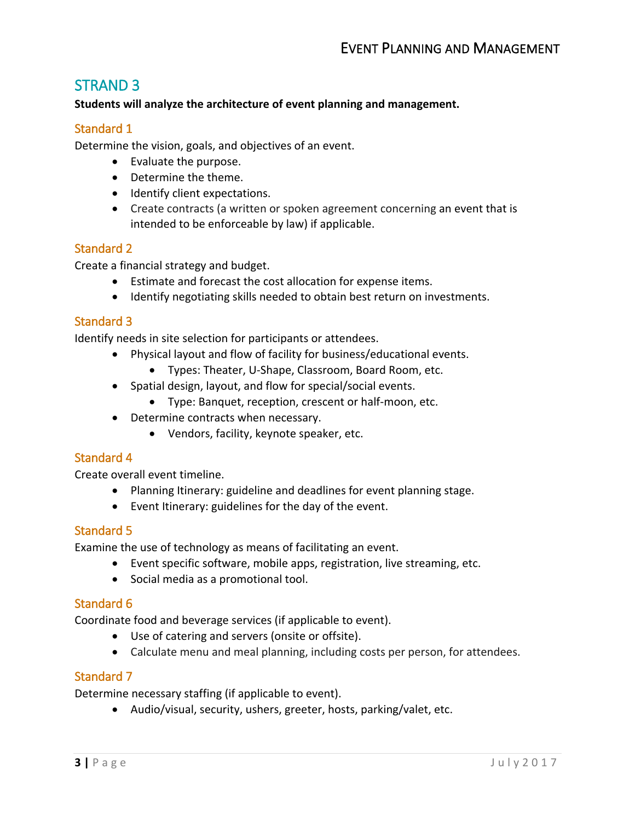## STRAND 3

#### **Students will analyze the architecture of event planning and management.**

#### Standard 1

Determine the vision, goals, and objectives of an event.

- Evaluate the purpose.
- Determine the theme.
- Identify client expectations.
- Create contracts (a written or spoken agreement concerning an event that is intended to be enforceable by law) if applicable.

#### Standard 2

Create a financial strategy and budget.

- Estimate and forecast the cost allocation for expense items.
- Identify negotiating skills needed to obtain best return on investments.

#### Standard 3

Identify needs in site selection for participants or attendees.

- Physical layout and flow of facility for business/educational events.
	- Types: Theater, U-Shape, Classroom, Board Room, etc.
- Spatial design, layout, and flow for special/social events.
	- Type: Banquet, reception, crescent or half-moon, etc.
- Determine contracts when necessary.
	- Vendors, facility, keynote speaker, etc.

#### Standard 4

Create overall event timeline.

- Planning Itinerary: guideline and deadlines for event planning stage.
- Event Itinerary: guidelines for the day of the event.

#### Standard 5

Examine the use of technology as means of facilitating an event.

- Event specific software, mobile apps, registration, live streaming, etc.
- Social media as a promotional tool.

#### Standard 6

Coordinate food and beverage services (if applicable to event).

- Use of catering and servers (onsite or offsite).
- Calculate menu and meal planning, including costs per person, for attendees.

#### Standard 7

Determine necessary staffing (if applicable to event).

• Audio/visual, security, ushers, greeter, hosts, parking/valet, etc.